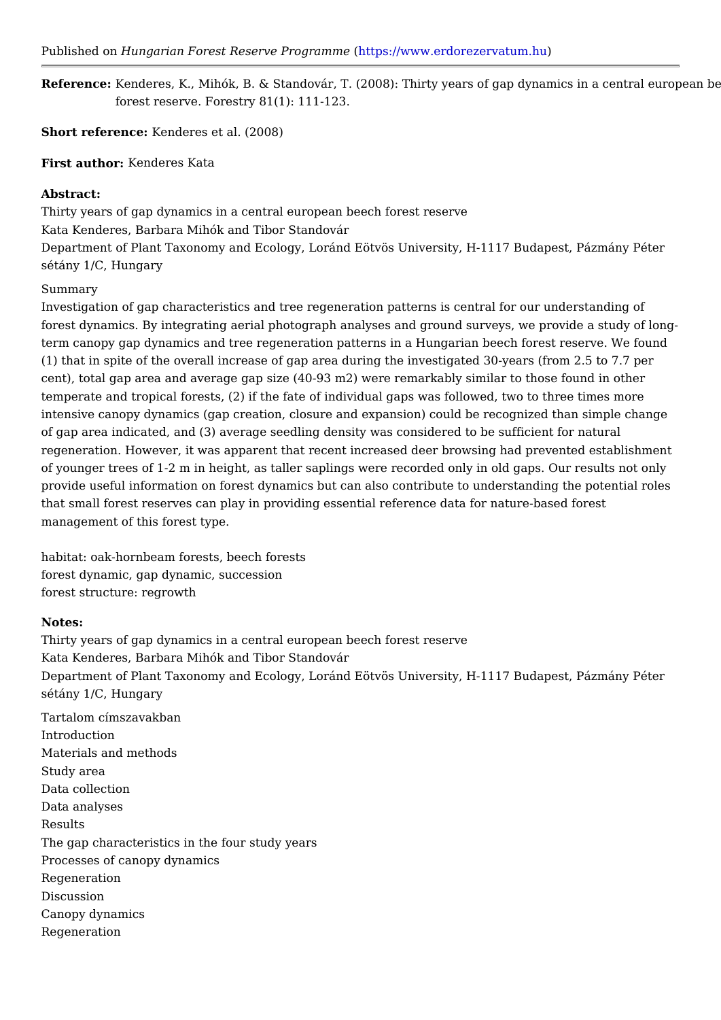Referenc&: enderes, K., Mihók, B. & Standovár, T. (2008): Thirty years of gap dyna forest reserve. Forestry 81(1): 111-123.

Short reference: nderes et al. (2008)

First autholenderes Kata

## Abstract:

Thirty years of gap dynamics in a central european beech forest reserve Kata Kenderes, Barbara Mihók and Tibor Standovár Department of Plant Taxonomy and Ecology, Loránd Eötvös University, H-1117 Bu sétány 1/C, Hungary

## Summary

Investigation of gap characteristics and tree regeneration patterns is central for forest dynamics. By integrating aerial photograph analyses and ground surveys, w term canopy gap dynamics and tree regeneration patterns in a Hungarian beech fo (1) that in spite of the overall increase of gap area during the investigated 30-ye cent), total gap area and average gap size (40-93 m2) were remarkably similar to temperate and tropical forests, (2) if the fate of individual gaps was followed, tw intensive canopy dynamics (gap creation, closure and expansion) could be recogn of gap area indicated, and (3) average seedling density was considered to be suff regeneration. However, it was apparent that recent increased deer browsing had pre of younger trees of 1-2 m in height, as taller saplings were recorded only in old g provide useful information on forest dynamics but can also contribute to understa that small forest reserves can play in providing essential reference data for natur management of this forest type.

habitat: oak-hornbeam forests, beech forests forest dynamic, gap dynamic, succession forest structure: regrowth

## Notes:

Thirty years of gap dynamics in a central european beech forest reserve Kata Kenderes, Barbara Mihók and Tibor Standovár Department of Plant Taxonomy and Ecology, Loránd Eötvös University, H-1117 Bu sétány 1/C, Hungary

Tartalom címszavakban Introduction Materials and methods Study area Data collection Data analyses Results The gap characteristics in the four study years Processes of canopy dynamics Regeneration Discussion Canopy dynamics Regeneration